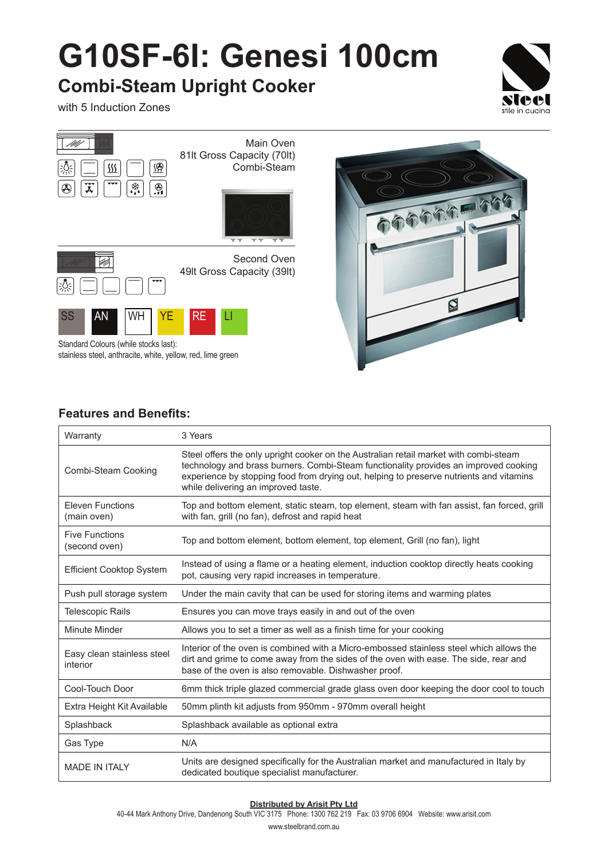# **G10SF-6I: Genesi 100cm**

### **Combi-Steam Upright Cooker**

with 5 Induction Zones





Standard Colours (while stocks last): stainless steel, anthracite, white, yellow, red, lime green



#### **Features and Benefits:**

| Warranty                               | 3 Years                                                                                                                                                                                                                                                                                                         |
|----------------------------------------|-----------------------------------------------------------------------------------------------------------------------------------------------------------------------------------------------------------------------------------------------------------------------------------------------------------------|
| Combi-Steam Cooking                    | Steel offers the only upright cooker on the Australian retail market with combi-steam<br>technology and brass burners. Combi-Steam functionality provides an improved cooking<br>experience by stopping food from drying out, helping to preserve nutrients and vitamins<br>while delivering an improved taste. |
| <b>Eleven Functions</b><br>(main oven) | Top and bottom element, static steam, top element, steam with fan assist, fan forced, grill<br>with fan, grill (no fan), defrost and rapid heat                                                                                                                                                                 |
| <b>Five Functions</b><br>(second oven) | Top and bottom element, bottom element, top element, Grill (no fan), light                                                                                                                                                                                                                                      |
| <b>Efficient Cooktop System</b>        | Instead of using a flame or a heating element, induction cooktop directly heats cooking<br>pot, causing very rapid increases in temperature.                                                                                                                                                                    |
| Push pull storage system               | Under the main cavity that can be used for storing items and warming plates                                                                                                                                                                                                                                     |
| <b>Telescopic Rails</b>                | Ensures you can move trays easily in and out of the oven                                                                                                                                                                                                                                                        |
| Minute Minder                          | Allows you to set a timer as well as a finish time for your cooking                                                                                                                                                                                                                                             |
| Easy clean stainless steel<br>interior | Interior of the oven is combined with a Micro-embossed stainless steel which allows the<br>dirt and grime to come away from the sides of the oven with ease. The side, rear and<br>base of the oven is also removable. Dishwasher proof.                                                                        |
| Cool-Touch Door                        | 6mm thick triple glazed commercial grade glass oven door keeping the door cool to touch                                                                                                                                                                                                                         |
| Extra Height Kit Available             | 50mm plinth kit adjusts from 950mm - 970mm overall height                                                                                                                                                                                                                                                       |
| Splashback                             | Splashback available as optional extra                                                                                                                                                                                                                                                                          |
| Gas Type                               | N/A                                                                                                                                                                                                                                                                                                             |
| <b>MADE IN ITALY</b>                   | Units are designed specifically for the Australian market and manufactured in Italy by<br>dedicated boutique specialist manufacturer.                                                                                                                                                                           |